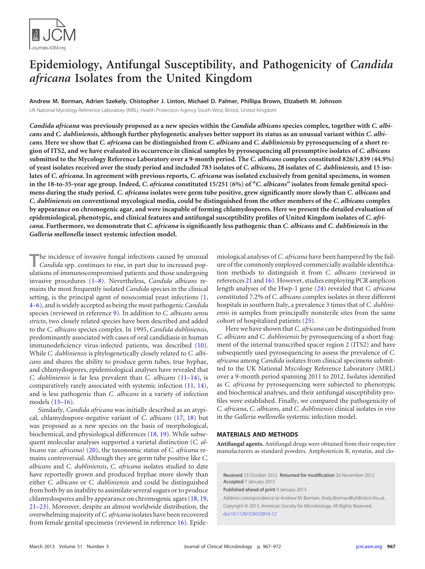

# **Epidemiology, Antifungal Susceptibility, and Pathogenicity of** *Candida africana* **Isolates from the United Kingdom**

**Andrew M. Borman, Adrien Szekely, Chistopher J. Linton, Michael D. Palmer, Phillipa Brown, Elizabeth M. Johnson**

UK National Mycology Reference Laboratory (MRL), Health Protection Agency South-West, Bristol, United Kingdom

*Candida africana* **was previously proposed as a new species within the** *Candida albicans* **species complex, together with** *C. albicans* **and** *C. dubliniensis***, although further phylogenetic analyses better support its status as an unusual variant within** *C. albicans***. Here we show that** *C. africana* **can be distinguished from** *C. albicans* **and** *C. dubliniensis* **by pyrosequencing of a short region of ITS2, and we have evaluated its occurrence in clinical samples by pyrosequencing all presumptive isolates of** *C. albicans* **submitted to the Mycology Reference Laboratory over a 9-month period. The** *C. albicans* **complex constituted 826/1,839 (44.9%) of yeast isolates received over the study period and included 783 isolates of** *C. albicans***, 28 isolates of** *C. dubliniensis***, and 15 isolates of** *C. africana***. In agreement with previous reports,** *C. africana* **was isolated exclusively from genital specimens, in women in the 18-to-35-year age group. Indeed,** *C. africana* **constituted 15/251 (6%) of "***C. albicans***" isolates from female genital specimens during the study period.** *C. africana* **isolates were germ tube positive, grew significantly more slowly than** *C. albicans* **and** *C. dubliniensis* **on conventional mycological media, could be distinguished from the other members of the** *C. albicans* **complex by appearance on chromogenic agar, and were incapable of forming chlamydospores. Here we present the detailed evaluation of epidemiological, phenotypic, and clinical features and antifungal susceptibility profiles of United Kingdom isolates of** *C. africana***. Furthermore, we demonstrate that** *C. africana* **is significantly less pathogenic than** *C. albicans* **and** *C. dubliniensis* **in the** *Galleria mellonella* **insect systemic infection model.**

**T**he incidence of invasive fungal infections caused by unusual *Candida* spp. continues to rise, in part due to increased populations of immunocompromised patients and those undergoing invasive procedures [\(1](#page-4-0)[–8\)](#page-4-1). Nevertheless, *Candida albicans* remains the most frequently isolated *Candida* species in the clinical setting, is the principal agent of nosocomial yeast infections [\(1,](#page-4-0) [4–](#page-4-2)[6\)](#page-4-3), and is widely accepted as being the most pathogenic*Candida* species (reviewed in reference [9\)](#page-4-4). In addition to *C. albicans sensu stricto*, two closely related species have been described and added to the *C. albicans* species complex. In 1995, *Candida dubliniensis*, predominantly associated with cases of oral candidiasis in human immunodeficiency virus-infected patients, was described [\(10\)](#page-4-5). While *C. dubliniensis* is phylogenetically closely related to *C. albicans* and shares the ability to produce germ tubes, true hyphae, and chlamydospores, epidemiological analyses have revealed that *C. dubliniensis* is far less prevalent than *C. albicans* [\(11](#page-5-0)[–14\)](#page-5-1), is comparatively rarely associated with systemic infection [\(11,](#page-5-0) [14\)](#page-5-1), and is less pathogenic than *C. albicans* in a variety of infection models [\(13–](#page-5-2)[16\)](#page-5-3).

Similarly, *Candida africana* was initially described as an atypical, chlamydospore-negative variant of *C. albicans* [\(17,](#page-5-4) [18\)](#page-5-5) but was proposed as a new species on the basis of morphological, biochemical, and physiological differences [\(18,](#page-5-5) [19\)](#page-5-6). While subsequent molecular analyses supported a varietal distinction (*C. albicans* var. *africana*) [\(20\)](#page-5-7), the taxonomic status of *C. africana* remains controversial. Although they are germ tube positive like *C. albicans* and *C. dubliniensis*, *C. africana* isolates studied to date have reportedly grown and produced hyphae more slowly than either *C. albicans* or *C. dubliniensis* and could be distinguished from both by an inability to assimilate several sugars or to produce chlamydospores and by appearance on chromogenic agars [\(18,](#page-5-5) [19,](#page-5-6) [21–](#page-5-8)[23\)](#page-5-9). Moreover, despite an almost worldwide distribution, the overwhelming majority of *C. africana* isolates have been recovered from female genital specimens (reviewed in reference [16\)](#page-5-3). Epidemiological analyses of *C. africana* have been hampered by the failure of the commonly employed commercially available identification methods to distinguish it from *C. albicans* (reviewed in references [21](#page-5-8) and [16\)](#page-5-3). However, studies employing PCR amplicon length analyses of the Hwp-1 gene [\(24\)](#page-5-10) revealed that *C. africana* constituted 7.2% of *C. albicans* complex isolates in three different hospitals in southern Italy, a prevalence 3 times that of *C. dubliniensis* in samples from principally nonsterile sites from the same cohort of hospitalized patients [\(25\)](#page-5-11).

Here we have shown that *C. africana* can be distinguished from *C. albicans* and *C. dubliniensis* by pyrosequencing of a short fragment of the internal transcribed spacer region 2 (ITS2) and have subsequently used pyrosequencing to assess the prevalence of *C. africana* among *Candida* isolates from clinical specimens submitted to the UK National Mycology Reference Laboratory (MRL) over a 9-month period spanning 2011 to 2012. Isolates identified as *C. africana* by pyrosequencing were subjected to phenotypic and biochemical analyses, and their antifungal susceptibility profiles were established. Finally, we compared the pathogenicity of *C. africana*, *C. albicans*, and *C. dubliniensis* clinical isolates *in vivo* in the *Galleria mellonella* systemic infection model.

## **MATERIALS AND METHODS**

**Antifungal agents.** Antifungal drugs were obtained from their respective manufacturers as standard powders. Amphotericin B, nystatin, and clo-

Received 23 October 2012 Returned for modification 26 November 2012 Accepted 7 January 2013

Published ahead of print 9 January 2013

Address correspondence to Andrew M. Borman, Andy.Borman@uhBristol.nhs.uk. Copyright © 2013, American Society for Microbiology. All Rights Reserved. [doi:10.1128/JCM.02816-12](http://dx.doi.org/10.1128/JCM.02816-12)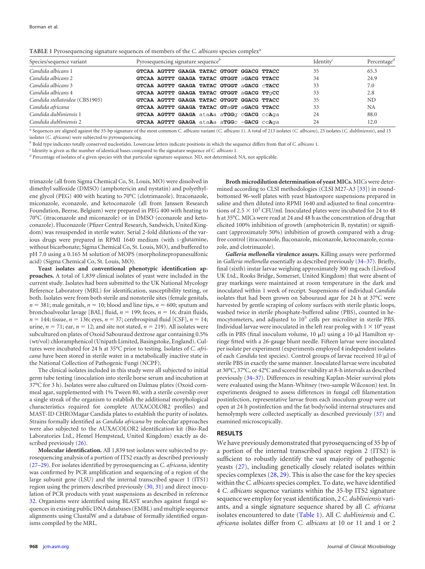<span id="page-1-0"></span>**TABLE 1** Pyrosequencing signature sequences of members of the *C. albicans* species complex*<sup>a</sup>*

| Species/sequence variant       | Pyrosequencing signature sequence <sup>b</sup> |  |  |                                           |  |  |  |    | Identity <sup>c</sup> | Percentage <sup><math>d</math></sup> |
|--------------------------------|------------------------------------------------|--|--|-------------------------------------------|--|--|--|----|-----------------------|--------------------------------------|
| Candida albicans 1             |                                                |  |  | GTCAA AGTTT GAAGA TATAC GTGGT GGACG TTACC |  |  |  | 35 |                       | 65.3                                 |
| Candida albicans 2             |                                                |  |  | GTCAA AGTTT GAAGA TATAC GTGGT aGACG TTACC |  |  |  | 34 |                       | 24.9                                 |
| Candida albicans 3             |                                                |  |  | GTCAA AGTTT GAAGA TATAC GTGGT aGACG CTACC |  |  |  | 33 |                       | 7.0                                  |
| Candida albicans 4             |                                                |  |  | GTCAA AGTTT GAAGA TATAC GTGGT aGACG TTGCC |  |  |  | 33 |                       | 2.8                                  |
| Candida stellatoidea (CBS1905) |                                                |  |  | GTCAA AGTTT GAAGA TATAC GTGGT GGACG TTACC |  |  |  | 35 |                       | ND                                   |
| Candida africana               |                                                |  |  | GTCAA AGTTT GAAGA TATAC GTaGT aGACG TTACC |  |  |  | 33 |                       | <b>NA</b>                            |
| Candida dubliniensis 1         |                                                |  |  | GTCAA AGTTT GAAGA ataAa aTGGq cGACG ccAqa |  |  |  | 24 |                       | 88.0                                 |
| Candida dubliniensis 2         |                                                |  |  | GTCAA AGTTT GAAGA ataAa aTGGC -GACG ccAqa |  |  |  | 24 |                       | 12.0                                 |

*<sup>a</sup>* Sequences are aligned against the 35-bp signature of the most common *C. albicans* variant (*C. albicans* 1). A total of 213 isolates (*C. albicans*), 25 isolates (*C. dubliniensis*), and 15 isolates (*C. africana*) were subjected to pyrosequencing.

*<sup>b</sup>* Bold type indicates totally conserved nucleotides. Lowercase letters indicate positions in which the sequence differs from that of *C. albicans* 1.

*<sup>c</sup>* Identity is given as the number of identical bases compared to the signature sequence of *C. albicans* 1.

*<sup>d</sup>* Percentage of isolates of a given species with that particular signature sequence. ND, not determined; NA, not applicable.

trimazole (all from Sigma Chemical Co, St. Louis, MO) were dissolved in dimethyl sulfoxide (DMSO) (amphotericin and nystatin) and polyethylene glycol (PEG) 400 with heating to 70°C (clotrimazole). Itraconazole, miconazole, econazole, and ketoconazole (all from Janssen Research Foundation, Beerse, Belgium) were prepared in PEG 400 with heating to 70°C (itraconazole and miconazole) or in DMSO (econazole and ketoconazole). Fluconazole (Pfizer Central Research, Sandwich, United Kingdom) was resuspended in sterile water. Serial 2-fold dilutions of the various drugs were prepared in RPMI 1640 medium (with L-glutamine, without bicarbonate; Sigma Chemical Co, St. Louis, MO), and buffered to pH 7.0 using a 0.165 M solution of MOPS (morpholinepropanesulfonic acid) (Sigma Chemical Co, St. Louis, MO).

**Yeast isolates and conventional phenotypic identification approaches.** A total of 1,839 clinical isolates of yeast were included in the current study. Isolates had been submitted to the UK National Mycology Reference Laboratory (MRL) for identification, susceptibility testing, or both. Isolates were from both sterile and nonsterile sites (female genitals,  $n = 381$ ; male genitals,  $n = 10$ ; blood and line tips,  $n = 600$ ; sputum and bronchoalveolar lavage [BAL] fluid,  $n = 199$ ; feces,  $n = 16$ ; drain fluids,  $n = 144$ ; tissue,  $n = 136$ ; eyes,  $n = 37$ ; cerebrospinal fluid [CSF],  $n = 14$ ; urine,  $n = 71$ ; ear,  $n = 12$ ; and site not stated,  $n = 219$ ). All isolates were subcultured on plates of Oxoid Sabouraud dextrose agar containing 0.5% (wt/vol) chloramphenicol (Unipath Limited, Basingstoke, England). Cultures were incubated for 24 h at 35°C prior to testing. Isolates of *C. africana* have been stored in sterile water in a metabolically inactive state in the National Collection of Pathogenic Fungi (NCPF).

The clinical isolates included in this study were all subjected to initial germ tube testing (inoculation into sterile horse serum and incubation at 37°C for 3 h). Isolates were also cultured on Dalmau plates (Oxoid cornmeal agar, supplemented with 1% Tween 80, with a sterile coverslip over a single streak of the organism to establish the additional morphological characteristics required for complete AUXACOLOR2 profiles) and MAST-ID CHROMagar Candida plates to establish the purity of isolates. Strains formally identified as *Candida africana* by molecular approaches were also subjected to the AUXACOLOR2 identification kit (Bio-Rad Laboratories Ltd., Hemel Hempstead, United Kingdom) exactly as described previously [\(26\)](#page-5-12).

**Molecular identification.** All 1,839 test isolates were subjected to pyrosequencing analysis of a portion of ITS2 exactly as described previously [\(27](#page-5-13)[–29\)](#page-5-14). For isolates identified by pyrosequencing as *C. africana*, identity was confirmed by PCR amplification and sequencing of a region of the large subunit gene (LSU) and the internal transcribed spacer 1 (ITS1) region using the primers described previously [\(30,](#page-5-15) [31\)](#page-5-16) and direct inoculation of PCR products with yeast suspensions as described in reference [32.](#page-5-17) Organisms were identified using BLAST searches against fungal sequences in existing public DNA databases (EMBL) and multiple sequence alignments using ClustalW and a database of formally identified organisms compiled by the MRL.

**Broth microdilution determination of yeast MICs.** MICs were determined according to CLSI methodologies (CLSI M27-A3 [\[33\]](#page-5-18)) in roundbottomed 96-well plates with yeast blastospore suspensions prepared in saline and then diluted into RPMI 1640 and adjusted to final concentrations of 2.5  $\times$  10<sup>3</sup> CFU/ml. Inoculated plates were incubated for 24 to 48 h at 35°C. MICs were read at 24 and 48 h as the concentration of drug that elicited 100% inhibition of growth (amphotericin B, nystatin) or significant (approximately 50%) inhibition of growth compared with a drugfree control (itraconazole, fluconazole, miconazole, ketoconazole, econazole, and clotrimazole).

*Galleria mellonella* **virulence assays.** Killing assays were performed in *Galleria mellonella* essentially as described previously [\(34](#page-5-19)[–37\)](#page-5-20). Briefly, final (sixth) instar larvae weighing approximately 300 mg each (Livefood UK Ltd., Rooks Bridge, Somerset, United Kingdom) that were absent of gray markings were maintained at room temperature in the dark and inoculated within 1 week of receipt. Suspensions of individual *Candida* isolates that had been grown on Sabouraud agar for 24 h at 37°C were harvested by gentle scraping of colony surfaces with sterile plastic loops, washed twice in sterile phosphate-buffered saline (PBS), counted in hemocytometers, and adjusted to  $10<sup>5</sup>$  cells per microliter in sterile PBS. Individual larvae were inoculated in the left rear proleg with  $1 \times 10^6$  yeast cells in PBS (final inoculum volume,  $10 \mu$ ) using a  $10-\mu$ l Hamilton syringe fitted with a 26-gauge blunt needle. Fifteen larvae were inoculated per isolate per experiment (experiments employed 4 independent isolates of each *Candida* test species). Control groups of larvae received 10 µl of sterile PBS in exactly the same manner. Inoculated larvae were incubated at 30°C, 37°C, or 42°C and scored for viability at 8-h intervals as described previously [\(34–](#page-5-19)[37\)](#page-5-20). Differences in resulting Kaplan-Meier survival plots were evaluated using the Mann-Whitney (two-sample Wilcoxon) test. In experiments designed to assess differences in fungal cell filamentation postinfection, representative larvae from each inoculum group were cut open at 24 h postinfection and the fat body/solid internal structures and hemolymph were collected aseptically as described previously [\(37\)](#page-5-20) and examined microscopically.

## **RESULTS**

We have previously demonstrated that pyrosequencing of 35 bp of a portion of the internal transcribed spacer region 2 (ITS2) is sufficient to robustly identify the vast majority of pathogenic yeasts [\(27\)](#page-5-13), including genetically closely related isolates within species complexes [\(28,](#page-5-21) [29\)](#page-5-14). This is also the case for the key species within the *C. albicans*species complex. To date, we have identified 4 *C. albicans* sequence variants within the 35-bp ITS2 signature sequence we employ for yeast identification, 2 *C. dubliniensis* variants, and a single signature sequence shared by all *C. africana* isolates encountered to date [\(Table 1\)](#page-1-0). All *C. dubliniensis* and *C. africana* isolates differ from *C. albicans* at 10 or 11 and 1 or 2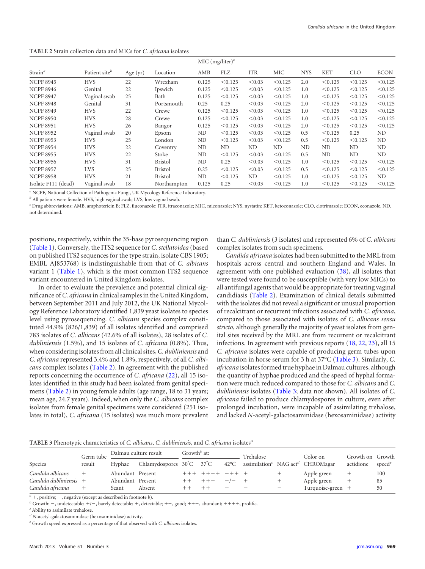<span id="page-2-0"></span>**TABLE 2** Strain collection data and MICs for *C. africana* isolates

|                     |                           |            |                | MIC $(mg/liter)^c$ |         |            |         |            |            |            |             |  |
|---------------------|---------------------------|------------|----------------|--------------------|---------|------------|---------|------------|------------|------------|-------------|--|
| Strain <sup>a</sup> | Patient site <sup>b</sup> | Age $(yr)$ | Location       | AMB                | FLZ     | <b>ITR</b> | MIC     | <b>NYS</b> | <b>KET</b> | <b>CLO</b> | <b>ECON</b> |  |
| <b>NCPF 8945</b>    | <b>HVS</b>                | 22         | Wrexham        | 0.125              | < 0.125 | < 0.03     | < 0.125 | 2.0        | < 0.125    | < 0.125    | < 0.125     |  |
| <b>NCPF 8946</b>    | Genital                   | 22         | Ipswich        | 0.125              | < 0.125 | < 0.03     | < 0.125 | 1.0        | < 0.125    | < 0.125    | < 0.125     |  |
| <b>NCPF 8947</b>    | Vaginal swab              | 25         | Bath           | 0.125              | < 0.125 | < 0.03     | < 0.125 | 1.0        | < 0.125    | < 0.125    | < 0.125     |  |
| <b>NCPF 8948</b>    | Genital                   | 31         | Portsmouth     | 0.25               | 0.25    | < 0.03     | < 0.125 | 2.0        | < 0.125    | < 0.125    | < 0.125     |  |
| <b>NCPF 8949</b>    | <b>HVS</b>                | 22         | Crewe          | 0.125              | < 0.125 | < 0.03     | < 0.125 | 1.0        | < 0.125    | < 0.125    | < 0.125     |  |
| <b>NCPF 8950</b>    | <b>HVS</b>                | 28         | Crewe          | 0.125              | < 0.125 | < 0.03     | < 0.125 | 1.0        | < 0.125    | < 0.125    | < 0.125     |  |
| <b>NCPF 8951</b>    | <b>HVS</b>                | 26         | Bangor         | 0.125              | < 0.125 | < 0.03     | < 0.125 | 2.0        | < 0.125    | < 0.125    | < 0.125     |  |
| <b>NCPF 8952</b>    | Vaginal swab              | 20         | Epsom          | ND                 | < 0.125 | < 0.03     | < 0.125 | 0.5        | < 0.125    | 0.25       | ND          |  |
| <b>NCPF 8953</b>    | <b>HVS</b>                | 25         | London         | ND                 | < 0.125 | < 0.03     | < 0.125 | 0.5        | < 0.125    | < 0.125    | ND          |  |
| <b>NCPF 8954</b>    | <b>HVS</b>                | 22         | Coventry       | ND                 | ND      | ND         | ND      | ND         | ND         | ND         | ND          |  |
| <b>NCPF 8955</b>    | <b>HVS</b>                | 22         | Stoke          | ND                 | < 0.125 | < 0.03     | < 0.125 | 0.5        | ND         | ND         | ND          |  |
| <b>NCPF 8956</b>    | <b>HVS</b>                | 31         | <b>Bristol</b> | ND                 | 0.25    | < 0.03     | < 0.125 | 1.0        | < 0.125    | < 0.125    | < 0.125     |  |
| <b>NCPF 8957</b>    | <b>LVS</b>                | 25         | <b>Bristol</b> | 0.25               | < 0.125 | < 0.03     | < 0.125 | 0.5        | < 0.125    | < 0.125    | < 0.125     |  |
| <b>NCPF 8958</b>    | <b>HVS</b>                | 21         | <b>Bristol</b> | ND                 | < 0.125 | ND         | < 0.125 | 1.0        | < 0.125    | < 0.125    | ND          |  |
| Isolate F111 (dead) | Vaginal swab              | 18         | Northampton    | 0.125              | 0.25    | < 0.03     | < 0.125 | 1.0        | < 0.125    | < 0.125    | < 0.125     |  |

*<sup>a</sup>* NCPF, National Collection of Pathogenic Fungi, UK Mycology Reference Laboratory.

*<sup>b</sup>* All patients were female. HVS, high vaginal swab; LVS, low vaginal swab.

*<sup>c</sup>* Drug abbreviations: AMB, amphotericin B; FLZ, fluconazole; ITR, itraconazole; MIC, miconazole; NYS, nystatin; KET, ketoconazole; CLO, clotrimazole; ECON, econazole. ND, not determined.

positions, respectively, within the 35-base pyrosequencing region [\(Table 1\)](#page-1-0). Conversely, the ITS2 sequence for *C. stellatoidea* (based on published ITS2 sequences for the type strain, isolate CBS 1905; EMBL AJ853768) is indistinguishable from that of *C. albicans* variant 1 [\(Table 1\)](#page-1-0), which is the most common ITS2 sequence variant encountered in United Kingdom isolates.

In order to evaluate the prevalence and potential clinical significance of *C. africana* in clinical samples in the United Kingdom, between September 2011 and July 2012, the UK National Mycology Reference Laboratory identified 1,839 yeast isolates to species level using pyrosequencing. *C. albicans* species complex constituted 44.9% (826/1,839) of all isolates identified and comprised 783 isolates of *C. albicans* (42.6% of all isolates), 28 isolates of *C. dubliniensis* (1.5%), and 15 isolates of *C. africana* (0.8%). Thus, when considering isolates from all clinical sites,*C. dubliniensis* and *C. africana* represented 3.4% and 1.8%, respectively, of all *C. albicans* complex isolates [\(Table 2\)](#page-2-0). In agreement with the published reports concerning the occurrence of *C. africana* [\(22\)](#page-5-22), all 15 isolates identified in this study had been isolated from genital specimens [\(Table 2\)](#page-2-0) in young female adults (age range, 18 to 31 years; mean age, 24.7 years). Indeed, when only the *C. albicans* complex isolates from female genital specimens were considered (251 isolates in total), *C. africana* (15 isolates) was much more prevalent than *C. dubliniensis* (3 isolates) and represented 6% of *C. albicans* complex isolates from such specimens.

*Candida africana* isolates had been submitted to the MRL from hospitals across central and southern England and Wales. In agreement with one published evaluation [\(38\)](#page-5-23), all isolates that were tested were found to be susceptible (with very low MICs) to all antifungal agents that would be appropriate for treating vaginal candidiasis [\(Table 2\)](#page-2-0). Examination of clinical details submitted with the isolates did not reveal a significant or unusual proportion of recalcitrant or recurrent infections associated with *C. africana*, compared to those associated with isolates of *C. albicans sensu stricto*, although generally the majority of yeast isolates from genital sites received by the MRL are from recurrent or recalcitrant infections. In agreement with previous reports [\(18,](#page-5-5) [22,](#page-5-22) [23\)](#page-5-9), all 15 *C. africana* isolates were capable of producing germ tubes upon incubation in horse serum for 3 h at 37°C [\(Table 3\)](#page-2-1). Similarly, *C. africana* isolates formed true hyphae in Dalmau cultures, although the quantity of hyphae produced and the speed of hyphal formation were much reduced compared to those for *C. albicans* and *C. dubliniensis* isolates [\(Table 3;](#page-2-1) data not shown). All isolates of *C. africana* failed to produce chlamydospores in culture, even after prolonged incubation, were incapable of assimilating trehalose, and lacked *N*-acetyl-galactosaminidase (hexosaminidase) activity

<span id="page-2-1"></span>**TABLE 3** Phenotypic characteristics of *C. albicans*, *C. dubliniensis*, and *C. africana* isolates*<sup>a</sup>*

|                      | Germ tube<br>result | Dalmau culture result |                          | Growth <sup>b</sup> at: |  |                | Trehalose                                                             |  | Color on          | Growth on Growth |                    |
|----------------------|---------------------|-----------------------|--------------------------|-------------------------|--|----------------|-----------------------------------------------------------------------|--|-------------------|------------------|--------------------|
| Species              |                     | Hyphae                | Chlamydospores 30°C 37°C |                         |  | $42^{\circ}$ C | assimilation <sup><math>c</math></sup> NAG act <sup>d</sup> CHROMagar |  |                   | actidione        | speed <sup>e</sup> |
| Candida albicans     |                     | Abundant Present      |                          |                         |  |                |                                                                       |  | Apple green       |                  | 100                |
| Candida dubliniensis |                     | Abundant Present      |                          |                         |  |                |                                                                       |  | Apple green       |                  | 85                 |
| Candida africana     |                     | Scant                 | Absent                   |                         |  |                |                                                                       |  | Turquoise-green + |                  | 50                 |

 $a^a$  +, positive; –, negative (except as described in footnote *b*).

*b* Growth: -, undetectable; +/-, barely detectable; +, detectable; ++, good; +++, abundant; ++++, prolific.

*<sup>c</sup>* Ability to assimilate trehalose.

*<sup>d</sup> N*-acetyl-galactosaminidase (hexosaminidase) activity.

*<sup>e</sup>* Growth speed expressed as a percentage of that observed with *C. albicans* isolates.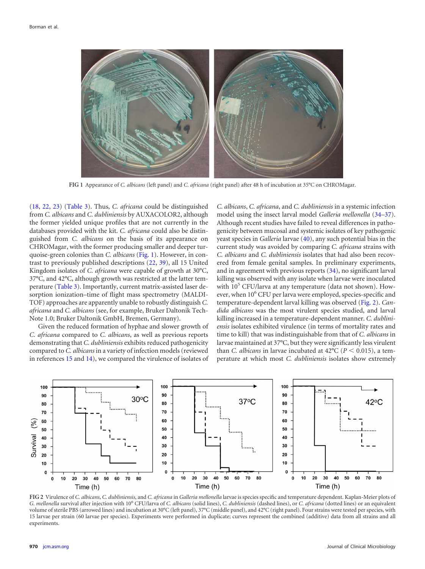

<span id="page-3-0"></span>**FIG 1** Appearance of *C. albicans* (left panel) and *C. africana* (right panel) after 48 h of incubation at 35°C on CHROMagar.

[\(18,](#page-5-5) [22,](#page-5-22) [23\)](#page-5-9) [\(Table 3\)](#page-2-1). Thus, *C. africana* could be distinguished from *C. albicans* and *C. dubliniensis* by AUXACOLOR2, although the former yielded unique profiles that are not currently in the databases provided with the kit. *C. africana* could also be distinguished from *C. albicans* on the basis of its appearance on CHROMagar, with the former producing smaller and deeper turquoise-green colonies than *C. albicans* [\(Fig. 1\)](#page-3-0). However, in contrast to previously published descriptions [\(22,](#page-5-22) [39\)](#page-5-24), all 15 United Kingdom isolates of *C. africana* were capable of growth at 30°C, 37°C, and 42°C, although growth was restricted at the latter temperature [\(Table 3\)](#page-2-1). Importantly, current matrix-assisted laser desorption ionization–time of flight mass spectrometry (MALDI-TOF) approaches are apparently unable to robustly distinguish *C. africana* and *C. albicans* (see, for example, Bruker Daltonik Tech-Note 1.0; Bruker Daltonik GmbH, Bremen, Germany).

Given the reduced formation of hyphae and slower growth of *C. africana* compared to *C. albicans*, as well as previous reports demonstrating that *C. dubliniensis* exhibits reduced pathogenicity compared to *C. albicans* in a variety of infection models (reviewed in references [15](#page-5-25) and [14\)](#page-5-1), we compared the virulence of isolates of *C. albicans*, *C. africana*, and *C. dubliniensis* in a systemic infection model using the insect larval model *Galleria mellonella* [\(34–](#page-5-19)[37\)](#page-5-20). Although recent studies have failed to reveal differences in pathogenicity between mucosal and systemic isolates of key pathogenic yeast species in *Galleria* larvae [\(40\)](#page-5-26), any such potential bias in the current study was avoided by comparing *C. africana* strains with *C. albicans* and *C. dubliniensis* isolates that had also been recovered from female genital samples. In preliminary experiments, and in agreement with previous reports [\(34\)](#page-5-19), no significant larval killing was observed with any isolate when larvae were inoculated with  $10<sup>5</sup>$  CFU/larva at any temperature (data not shown). However, when 10<sup>6</sup> CFU per larva were employed, species-specific and temperature-dependent larval killing was observed [\(Fig. 2\)](#page-3-1). *Candida albicans* was the most virulent species studied, and larval killing increased in a temperature-dependent manner. *C. dubliniensis* isolates exhibited virulence (in terms of mortality rates and time to kill) that was indistinguishable from that of *C. albicans* in larvae maintained at 37°C, but they were significantly less virulent than *C. albicans* in larvae incubated at  $42^{\circ}$ C ( $P < 0.015$ ), a temperature at which most *C. dubliniensis* isolates show extremely



<span id="page-3-1"></span>**FIG 2** Virulence of *C. albicans*, *C. dubliniensis*, and *C. africana* in *Galleria mellonella* larvae is species specific and temperature dependent. Kaplan-Meier plots of *G. mellonella* survival after injection with 10<sup>6</sup> CFU/larva of *C. albicans* (solid lines), *C. dubliniensis* (dashed lines), or *C. africana* (dotted lines) or an equivalent volume of sterile PBS (arrowed lines) and incubation at 30°C (left panel), 37°C (middle panel), and 42°C (right panel). Four strains were tested per species, with 15 larvae per strain (60 larvae per species). Experiments were performed in duplicate; curves represent the combined (additive) data from all strains and all experiments.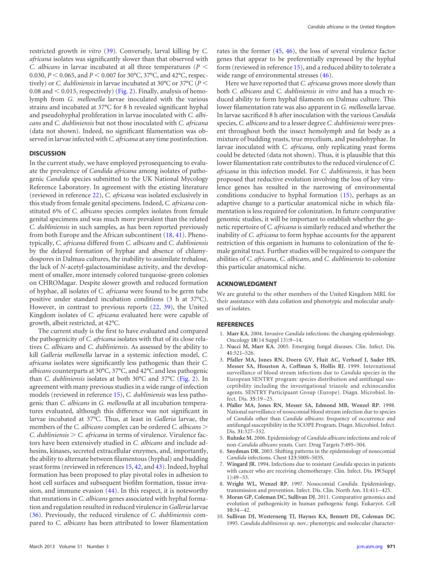restricted growth *in vitro* [\(39\)](#page-5-24). Conversely, larval killing by *C. africana* isolates was significantly slower than that observed with *C. albicans* in larvae incubated at all three temperatures (*P* 0.030,  $P < 0.065$ , and  $P < 0.007$  for 30°C, 37°C, and 42°C, respectively) or *C. dubliniensis* in larvae incubated at 30°C or 37°C (*P* 0.08 and  $<$  0.015, respectively) [\(Fig. 2\)](#page-3-1). Finally, analysis of hemolymph from *G. mellonella* larvae inoculated with the various strains and incubated at 37°C for 8 h revealed significant hyphal and pseudohyphal proliferation in larvae inoculated with *C. albicans* and *C. dubliniensis* but not those inoculated with *C. africana* (data not shown). Indeed, no significant filamentation was observed in larvae infected with *C. africana* at any time postinfection.

#### **DISCUSSION**

In the current study, we have employed pyrosequencing to evaluate the prevalence of *Candida africana* among isolates of pathogenic *Candida* species submitted to the UK National Mycology Reference Laboratory. In agreement with the existing literature (reviewed in reference [22\)](#page-5-22), *C. africana* was isolated exclusively in this study from female genital specimens. Indeed, *C. africana* constituted 6% of *C. albicans* species complex isolates from female genital specimens and was much more prevalent than the related *C. dubliniensis* in such samples, as has been reported previously from both Europe and the African subcontinent [\(18,](#page-5-5) [41\)](#page-5-27). Phenotypically, *C. africana* differed from *C. albicans* and *C. dubliniensis* by the delayed formation of hyphae and absence of chlamydospores in Dalmau cultures, the inability to assimilate trehalose, the lack of *N*-acetyl-galactosaminidase activity, and the development of smaller, more intensely colored turquoise-green colonies on CHROMagar. Despite slower growth and reduced formation of hyphae, all isolates of *C. africana* were found to be germ tube positive under standard incubation conditions (3 h at 37°C). However, in contrast to previous reports [\(22,](#page-5-22) [39\)](#page-5-24), the United Kingdom isolates of *C. africana* evaluated here were capable of growth, albeit restricted, at 42°C.

The current study is the first to have evaluated and compared the pathogenicity of *C. africana* isolates with that of its close relatives *C. albicans* and *C. dubliniensis*. As assessed by the ability to kill *Galleria mellonella* larvae in a systemic infection model, *C. africana* isolates were significantly less pathogenic than their *C. albicans* counterparts at 30°C, 37°C, and 42°C and less pathogenic than *C. dubliniensis* isolates at both 30°C and 37°C [\(Fig. 2\)](#page-3-1). In agreement with many previous studies in a wide range of infection models (reviewed in reference [15\)](#page-5-25), *C. dubliniensis* was less pathogenic than *C. albicans* in *G. mellonella* at all incubation temperatures evaluated, although this difference was not significant in larvae incubated at 37°C. Thus, at least in *Galleria* larvae, the members of the *C. albicans* complex can be ordered *C. albicans C. dubliniensis C. africana* in terms of virulence. Virulence factors have been extensively studied in *C. albicans* and include adhesins, kinases, secreted extracellular enzymes, and, importantly, the ability to alternate between filamentous (hyphal) and budding yeast forms (reviewed in references [15,](#page-5-25) [42,](#page-5-28) and [43\)](#page-5-29). Indeed, hyphal formation has been proposed to play pivotal roles in adhesion to host cell surfaces and subsequent biofilm formation, tissue invasion, and immune evasion [\(44\)](#page-5-30). In this respect, it is noteworthy that mutations in *C. albicans* genes associated with hyphal formation and regulation resulted in reduced virulence in*Galleria* larvae [\(36\)](#page-5-31). Previously, the reduced virulence of *C. dubliniensis* compared to *C. albicans* has been attributed to lower filamentation

rates in the former [\(45,](#page-5-32) [46\)](#page-5-33), the loss of several virulence factor genes that appear to be preferentially expressed by the hyphal form (reviewed in reference [15\)](#page-5-25), and a reduced ability to tolerate a wide range of environmental stresses [\(46\)](#page-5-33).

Here we have reported that *C. africana* grows more slowly than both *C. albicans* and *C. dubliniensis in vitro* and has a much reduced ability to form hyphal filaments on Dalmau culture. This lower filamentation rate was also apparent in *G. mellonella* larvae. In larvae sacrificed 8 h after inoculation with the various *Candida* species, *C. albicans* and to a lesser degree *C. dubliniensis* were present throughout both the insect hemolymph and fat body as a mixture of budding yeasts, true mycelium, and pseudohyphae. In larvae inoculated with *C. africana*, only replicating yeast forms could be detected (data not shown). Thus, it is plausible that this lower filamentation rate contributes to the reduced virulence of *C. africana* in this infection model. For *C. dubliniensis*, it has been proposed that reductive evolution involving the loss of key virulence genes has resulted in the narrowing of environmental conditions conducive to hyphal formation [\(15\)](#page-5-25), perhaps as an adaptive change to a particular anatomical niche in which filamentation is less required for colonization. In future comparative genomic studies, it will be important to establish whether the genetic repertoire of *C. africana* is similarly reduced and whether the inability of *C. africana* to form hyphae accounts for the apparent restriction of this organism in humans to colonization of the female genital tract. Further studies will be required to compare the abilities of *C. africana*, *C. albicans*, and *C. dubliniensis* to colonize this particular anatomical niche.

#### **ACKNOWLEDGMENT**

We are grateful to the other members of the United Kingdom MRL for their assistance with data collation and phenotypic and molecular analyses of isolates.

### <span id="page-4-0"></span>**REFERENCES**

- 1. **Marr KA.** 2004. Invasive *Candida* infections: the changing epidemiology. Oncology **18**(14 Suppl 13):9 –14.
- 2. **Nucci M, Marr KA.** 2005. Emerging fungal diseases. Clin. Infect. Dis. **41**:521–526.
- 3. **Pfaller MA, Jones RN, Doern GV, Fluit AC, Verhoef J, Sader HS, Messer SA, Houston A, Coffman S, Hollis RJ.** 1999. International surveillance of blood stream infections due to *Candida* species in the European SENTRY program: species distribution and antifungal susceptibility including the investigational triazole and echinocandin agents. SENTRY Participaant Group (Europe). Diagn. Microbiol. Infect. Dis. **35**:19 –25.
- <span id="page-4-2"></span>4. **Pfaller MA, Jones RN, Messer SA, Edmond MB, Wenzel RP.** 1998. National surveillance of nosocomial blood stream infection due to species of *Candida* other than *Candida albicans*: frequency of occurrence and antifungal susceptibility in the SCOPE Program. Diagn. Microbiol. Infect. Dis. **31**:327–332.
- <span id="page-4-3"></span>5. **Ruhnke M.** 2006. Epidemiology of *Candida albicans* infections and role of non-*Candida albicans* yeasts. Curr. Drug Targets **7**:495–504.
- 6. **Snydman DR.** 2003. Shifting patterns in the epidemiology of nosocomial *Candida* infections. Chest **123**:500S–503S.
- <span id="page-4-1"></span>7. **Wingard JR.** 1994. Infections due to resistant *Candida* species in patients with cancer who are receiving chemotherapy. Clin. Infect. Dis. **19**(Suppl 1):49 –53.
- <span id="page-4-4"></span>8. **Wright WL, Wenzel RP.** 1997. Nosocomial *Candida.* Epidemiology, transmission and prevention. Infect. Dis. Clin. North Am. **11**:411– 425.
- <span id="page-4-5"></span>9. **Moran GP, Coleman DC, Sullivan DJ.** 2011. Comparative genomics and evolution of pathogenicity in human pathogenic fungi. Eukaryot. Cell **10**:34 – 42.
- 10. **Sullivan DJ, Westerneng TJ, Haynes KA, Bennett DE, Coleman DC.** 1995. *Candida dubliniensis* sp. nov.: phenotypic and molecular character-